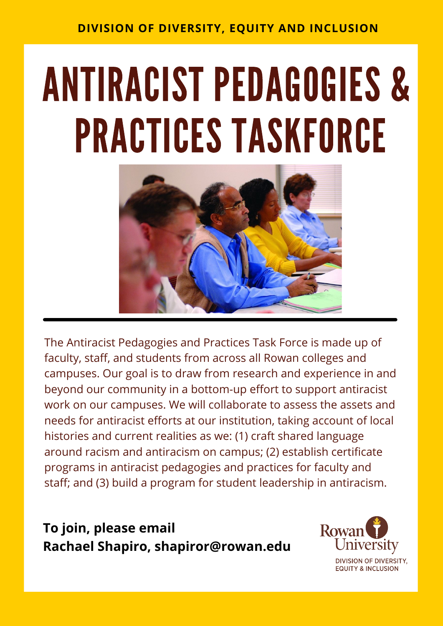## **DIVISION OF DIVERSITY, EQUITY AND INCLUSION**

## ANTIRACIST PEDAGOGIES & PRACTICES TASKFORCE



The Antiracist Pedagogies and Practices Task Force is made up of faculty, staff, and students from across all Rowan colleges and campuses. Our goal is to draw from research and experience in and beyond our community in a bottom-up effort to support antiracist work on our campuses. We will collaborate to assess the assets and needs for antiracist efforts at our institution, taking account of local histories and current realities as we: (1) craft shared language around racism and antiracism on campus; (2) establish certificate programs in antiracist pedagogies and practices for faculty and staff; and (3) build a program for student leadership in antiracism.

**To join, please email Rachael Shapiro, [shapiror@rowan.edu](mailto:shapiror@rowan.edu)**



**DIVISION OF DIVERSITY, EQUITY & INCLUSION**